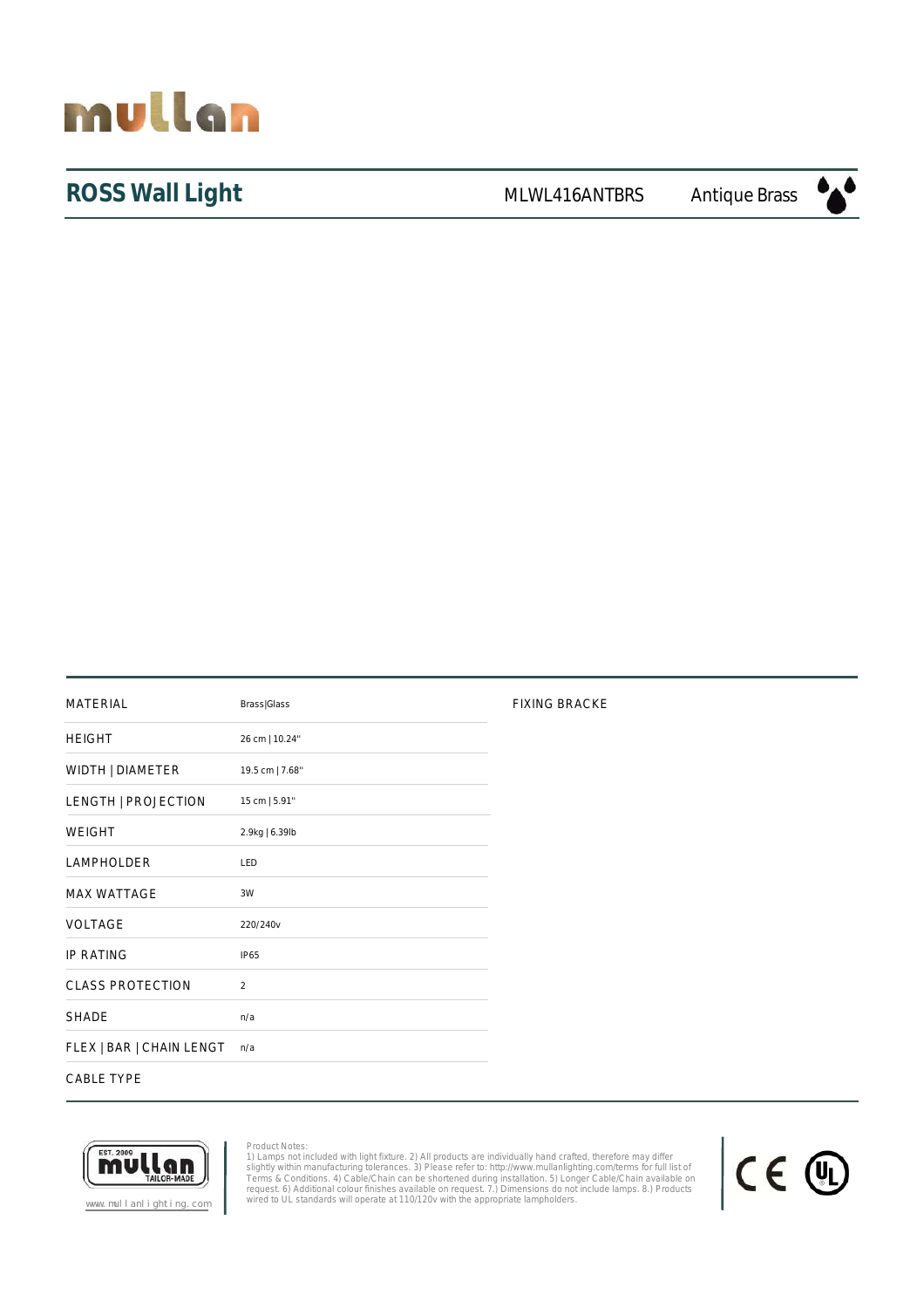

#### ROSS Wall Light **MLWL416ANTBRS** Antique Brass

| MATERIAL                 | Brass Glass     | <b>FIXING BRACKE</b> |
|--------------------------|-----------------|----------------------|
| <b>HEIGHT</b>            | 26 cm   10.24"  |                      |
| WIDTH   DIAMETER         | 19.5 cm   7.68" |                      |
| LENGTH   PROJECTION      | 15 cm   5.91"   |                      |
| WEIGHT                   | 2.9kg   6.39lb  |                      |
| LAMPHOLDER               | LED             |                      |
| <b>MAX WATTAGE</b>       | 3W              |                      |
| VOLTAGE                  | 220/240v        |                      |
| IP RATING                | <b>IP65</b>     |                      |
| <b>CLASS PROTECTION</b>  | $\overline{2}$  |                      |
| <b>SHADE</b>             | n/a             |                      |
| FLEX   BAR   CHAIN LENGT | n/a             |                      |
| CABLE TYPE               |                 |                      |



Product Notes:<br>1) Lamps not included with light fixture. 2) All products are individually hand crafted, therefore may differ<br>5) Lamps not included with light fixture. 3) Please refer to: http://www.mullanlighting.com/terms



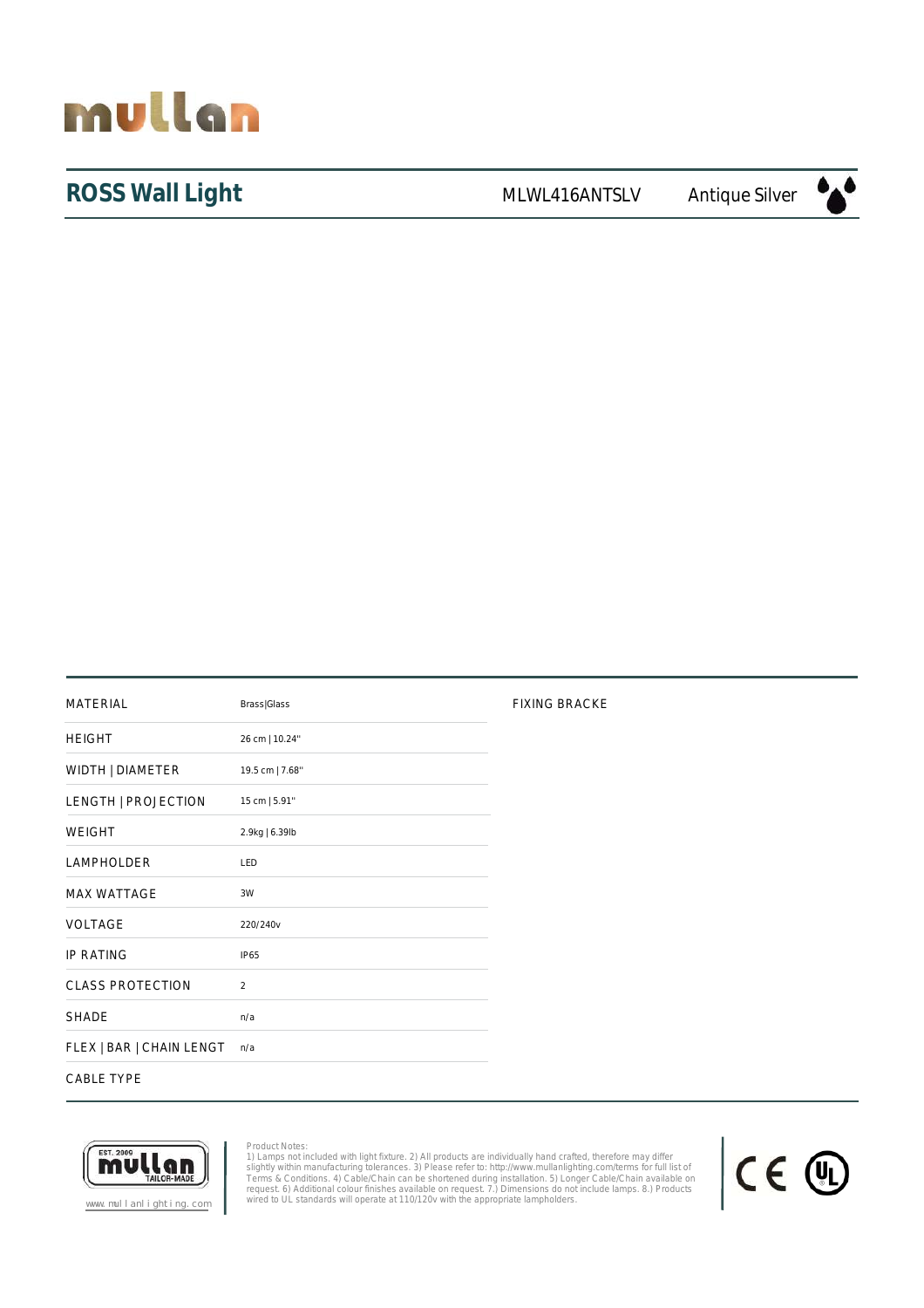

# ROSS Wall Light **MLWL416ANTSLV** Antique Silver



# MATERIAL Brass|Glass Brass|Glass FIXING BRACKE HEIGHT 26 cm | 10.24'' WIDTH | DIAMETER 19.5 cm | 7.68" LENGTH | PROJECTION 15 cm | 5.91" WEIGHT 2.9kg | 6.39lb LAMPHOLDER LED MAX WATTAGE 3W VOLTAGE 220/240v IP RATING IP65 CLASS PROTECTION 2 SHADE n/a FLEX | BAR | CHAIN LENGT n/a CABLE TYPE



Product Notes:<br>1) Lamps not included with light fixture. 2) All products are individually hand crafted, therefore may differ<br>5) Lamps not included with light fixture. 3) Please refer to: http://www.mullanlighting.com/terms